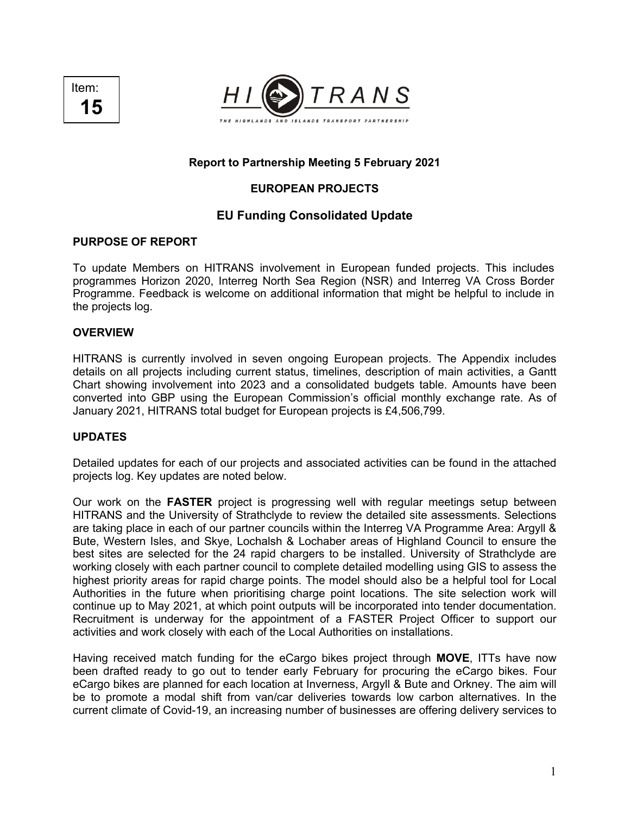



#### **Report to Partnership Meeting 5 February 2021**

#### **EUROPEAN PROJECTS**

#### **EU Funding Consolidated Update**

#### **PURPOSE OF REPORT**

To update Members on HITRANS involvement in European funded projects. This includes programmes Horizon 2020, Interreg North Sea Region (NSR) and Interreg VA Cross Border Programme. Feedback is welcome on additional information that might be helpful to include in the projects log.

#### **OVERVIEW**

HITRANS is currently involved in seven ongoing European projects. The Appendix includes details on all projects including current status, timelines, description of main activities, a Gantt Chart showing involvement into 2023 and a consolidated budgets table. Amounts have been converted into GBP using the European Commission's official monthly exchange rate. As of January 2021, HITRANS total budget for European projects is £4,506,799.

#### **UPDATES**

Detailed updates for each of our projects and associated activities can be found in the attached projects log. Key updates are noted below.

Our work on the **FASTER** project is progressing well with regular meetings setup between HITRANS and the University of Strathclyde to review the detailed site assessments. Selections are taking place in each of our partner councils within the Interreg VA Programme Area: Argyll & Bute, Western Isles, and Skye, Lochalsh & Lochaber areas of Highland Council to ensure the best sites are selected for the 24 rapid chargers to be installed. University of Strathclyde are working closely with each partner council to complete detailed modelling using GIS to assess the highest priority areas for rapid charge points. The model should also be a helpful tool for Local Authorities in the future when prioritising charge point locations. The site selection work will continue up to May 2021, at which point outputs will be incorporated into tender documentation. Recruitment is underway for the appointment of a FASTER Project Officer to support our activities and work closely with each of the Local Authorities on installations.

Having received match funding for the eCargo bikes project through **MOVE**, ITTs have now been drafted ready to go out to tender early February for procuring the eCargo bikes. Four eCargo bikes are planned for each location at Inverness, Argyll & Bute and Orkney. The aim will be to promote a modal shift from van/car deliveries towards low carbon alternatives. In the current climate of Covid-19, an increasing number of businesses are offering delivery services to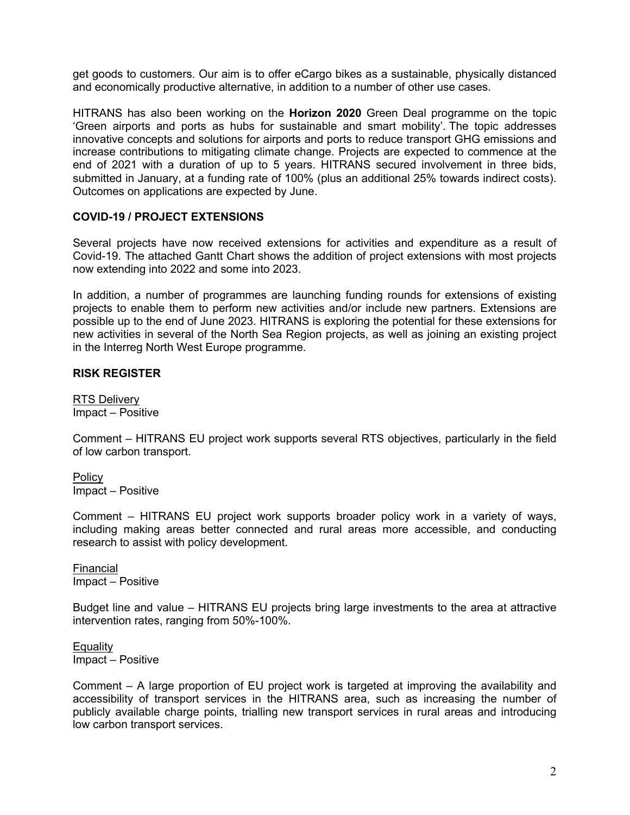get goods to customers. Our aim is to offer eCargo bikes as a sustainable, physically distanced and economically productive alternative, in addition to a number of other use cases.

HITRANS has also been working on the **Horizon 2020** Green Deal programme on the topic 'Green airports and ports as hubs for sustainable and smart mobility'. The topic addresses innovative concepts and solutions for airports and ports to reduce transport GHG emissions and increase contributions to mitigating climate change. Projects are expected to commence at the end of 2021 with a duration of up to 5 years. HITRANS secured involvement in three bids, submitted in January, at a funding rate of 100% (plus an additional 25% towards indirect costs). Outcomes on applications are expected by June.

#### **COVID-19 / PROJECT EXTENSIONS**

Several projects have now received extensions for activities and expenditure as a result of Covid-19. The attached Gantt Chart shows the addition of project extensions with most projects now extending into 2022 and some into 2023.

In addition, a number of programmes are launching funding rounds for extensions of existing projects to enable them to perform new activities and/or include new partners. Extensions are possible up to the end of June 2023. HITRANS is exploring the potential for these extensions for new activities in several of the North Sea Region projects, as well as joining an existing project in the Interreg North West Europe programme.

#### **RISK REGISTER**

RTS Delivery Impact – Positive

Comment – HITRANS EU project work supports several RTS objectives, particularly in the field of low carbon transport.

Policy Impact – Positive

Comment – HITRANS EU project work supports broader policy work in a variety of ways, including making areas better connected and rural areas more accessible, and conducting research to assist with policy development.

Financial Impact – Positive

Budget line and value – HITRANS EU projects bring large investments to the area at attractive intervention rates, ranging from 50%-100%.

**Equality** Impact – Positive

Comment – A large proportion of EU project work is targeted at improving the availability and accessibility of transport services in the HITRANS area, such as increasing the number of publicly available charge points, trialling new transport services in rural areas and introducing low carbon transport services.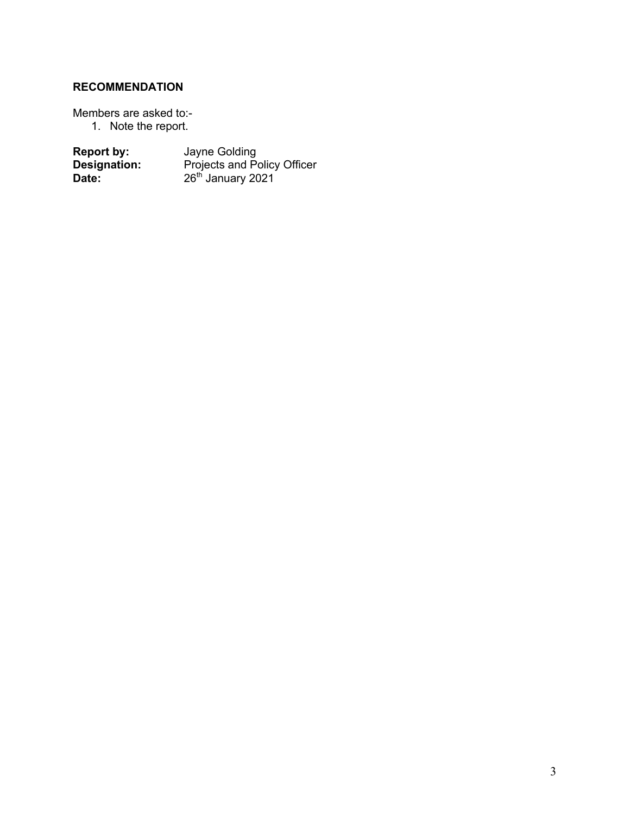### **RECOMMENDATION**

Members are asked to:-

1. Note the report.

| <b>Report by:</b> | Jayne Golding                      |
|-------------------|------------------------------------|
| Designation:      | <b>Projects and Policy Officer</b> |
| Date:             | 26 <sup>th</sup> January 2021      |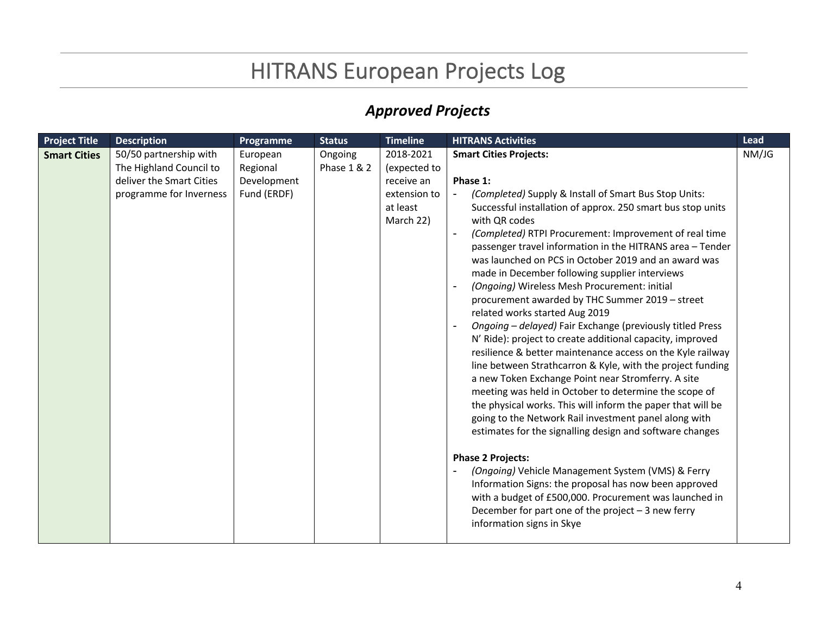### HITRANS European Projects Log

### *Approved Projects*

| <b>Project Title</b> | <b>Description</b>                                                                                       | Programme                                          | <b>Status</b>          | <b>Timeline</b>                                                                  | <b>HITRANS Activities</b>                                                                                                                                                                                                                                                                                                                                                                                                                                                                                                                                                                                                                                                                                                                                                                                                                                                                                                                                                                                                                                                                                                                                                                                                                                                                                                                                                                                                                                         | Lead  |
|----------------------|----------------------------------------------------------------------------------------------------------|----------------------------------------------------|------------------------|----------------------------------------------------------------------------------|-------------------------------------------------------------------------------------------------------------------------------------------------------------------------------------------------------------------------------------------------------------------------------------------------------------------------------------------------------------------------------------------------------------------------------------------------------------------------------------------------------------------------------------------------------------------------------------------------------------------------------------------------------------------------------------------------------------------------------------------------------------------------------------------------------------------------------------------------------------------------------------------------------------------------------------------------------------------------------------------------------------------------------------------------------------------------------------------------------------------------------------------------------------------------------------------------------------------------------------------------------------------------------------------------------------------------------------------------------------------------------------------------------------------------------------------------------------------|-------|
| <b>Smart Cities</b>  | 50/50 partnership with<br>The Highland Council to<br>deliver the Smart Cities<br>programme for Inverness | European<br>Regional<br>Development<br>Fund (ERDF) | Ongoing<br>Phase 1 & 2 | 2018-2021<br>(expected to<br>receive an<br>extension to<br>at least<br>March 22) | <b>Smart Cities Projects:</b><br>Phase 1:<br>(Completed) Supply & Install of Smart Bus Stop Units:<br>Successful installation of approx. 250 smart bus stop units<br>with QR codes<br>(Completed) RTPI Procurement: Improvement of real time<br>passenger travel information in the HITRANS area - Tender<br>was launched on PCS in October 2019 and an award was<br>made in December following supplier interviews<br>(Ongoing) Wireless Mesh Procurement: initial<br>$\overline{\phantom{a}}$<br>procurement awarded by THC Summer 2019 - street<br>related works started Aug 2019<br>Ongoing - delayed) Fair Exchange (previously titled Press<br>$\overline{\phantom{a}}$<br>N' Ride): project to create additional capacity, improved<br>resilience & better maintenance access on the Kyle railway<br>line between Strathcarron & Kyle, with the project funding<br>a new Token Exchange Point near Stromferry. A site<br>meeting was held in October to determine the scope of<br>the physical works. This will inform the paper that will be<br>going to the Network Rail investment panel along with<br>estimates for the signalling design and software changes<br><b>Phase 2 Projects:</b><br>(Ongoing) Vehicle Management System (VMS) & Ferry<br>Information Signs: the proposal has now been approved<br>with a budget of £500,000. Procurement was launched in<br>December for part one of the project $-3$ new ferry<br>information signs in Skye | NM/JG |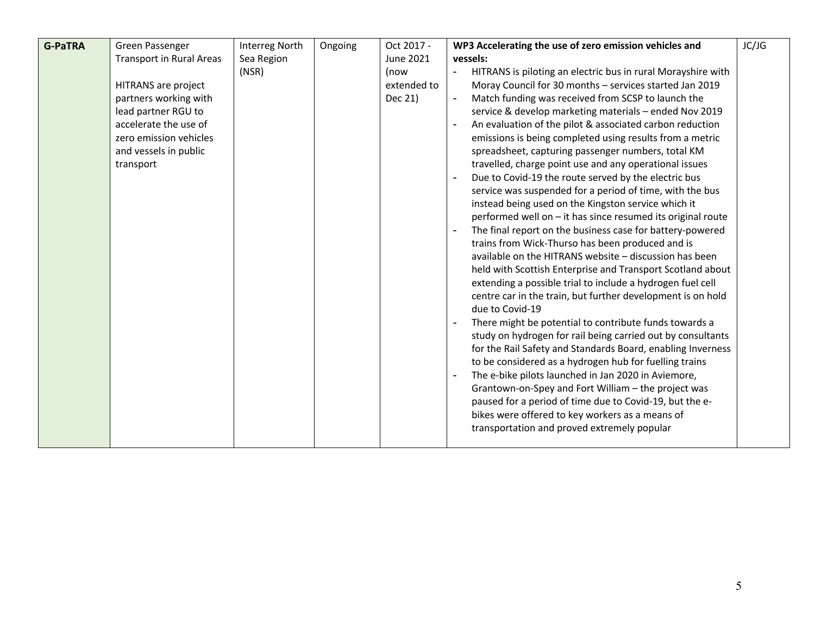| <b>G-PaTRA</b> | Green Passenger                 | <b>Interreg North</b> | Ongoing | Oct 2017 -  | WP3 Accelerating the use of zero emission vehicles and                         | JC/JG |
|----------------|---------------------------------|-----------------------|---------|-------------|--------------------------------------------------------------------------------|-------|
|                | <b>Transport in Rural Areas</b> | Sea Region            |         | June 2021   | vessels:                                                                       |       |
|                |                                 | (NSR)                 |         | (now        | HITRANS is piloting an electric bus in rural Morayshire with<br>$\blacksquare$ |       |
|                | HITRANS are project             |                       |         | extended to | Moray Council for 30 months - services started Jan 2019                        |       |
|                | partners working with           |                       |         | Dec 21)     | Match funding was received from SCSP to launch the<br>$\overline{\phantom{0}}$ |       |
|                | lead partner RGU to             |                       |         |             | service & develop marketing materials - ended Nov 2019                         |       |
|                | accelerate the use of           |                       |         |             | An evaluation of the pilot & associated carbon reduction                       |       |
|                | zero emission vehicles          |                       |         |             | emissions is being completed using results from a metric                       |       |
|                | and vessels in public           |                       |         |             | spreadsheet, capturing passenger numbers, total KM                             |       |
|                | transport                       |                       |         |             | travelled, charge point use and any operational issues                         |       |
|                |                                 |                       |         |             | Due to Covid-19 the route served by the electric bus<br>$\blacksquare$         |       |
|                |                                 |                       |         |             | service was suspended for a period of time, with the bus                       |       |
|                |                                 |                       |         |             | instead being used on the Kingston service which it                            |       |
|                |                                 |                       |         |             | performed well on - it has since resumed its original route                    |       |
|                |                                 |                       |         |             | The final report on the business case for battery-powered                      |       |
|                |                                 |                       |         |             | trains from Wick-Thurso has been produced and is                               |       |
|                |                                 |                       |         |             | available on the HITRANS website - discussion has been                         |       |
|                |                                 |                       |         |             | held with Scottish Enterprise and Transport Scotland about                     |       |
|                |                                 |                       |         |             | extending a possible trial to include a hydrogen fuel cell                     |       |
|                |                                 |                       |         |             | centre car in the train, but further development is on hold                    |       |
|                |                                 |                       |         |             | due to Covid-19                                                                |       |
|                |                                 |                       |         |             | There might be potential to contribute funds towards a                         |       |
|                |                                 |                       |         |             | study on hydrogen for rail being carried out by consultants                    |       |
|                |                                 |                       |         |             | for the Rail Safety and Standards Board, enabling Inverness                    |       |
|                |                                 |                       |         |             | to be considered as a hydrogen hub for fuelling trains                         |       |
|                |                                 |                       |         |             | The e-bike pilots launched in Jan 2020 in Aviemore,                            |       |
|                |                                 |                       |         |             | Grantown-on-Spey and Fort William - the project was                            |       |
|                |                                 |                       |         |             | paused for a period of time due to Covid-19, but the e-                        |       |
|                |                                 |                       |         |             | bikes were offered to key workers as a means of                                |       |
|                |                                 |                       |         |             | transportation and proved extremely popular                                    |       |
|                |                                 |                       |         |             |                                                                                |       |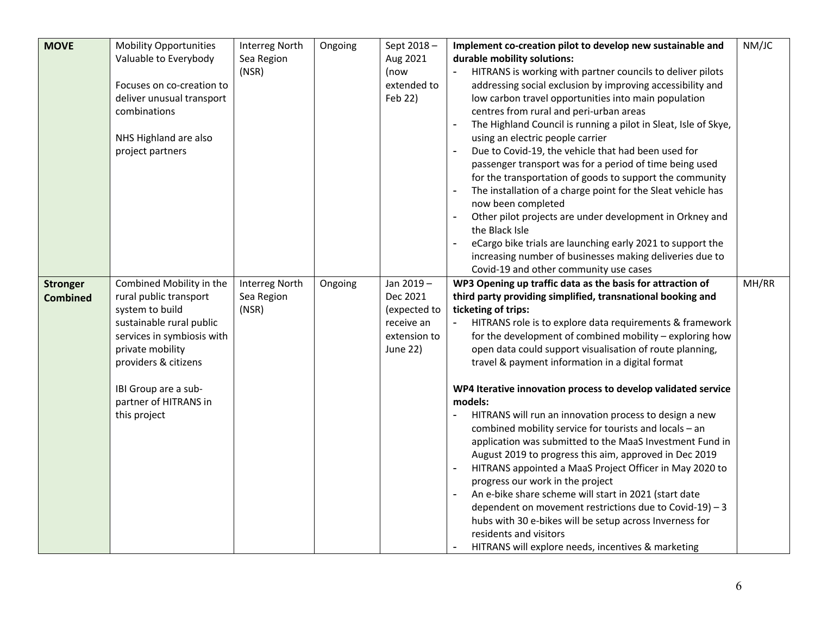| <b>MOVE</b>                        | <b>Mobility Opportunities</b><br>Valuable to Everybody<br>Focuses on co-creation to<br>deliver unusual transport<br>combinations<br>NHS Highland are also<br>project partners                                                                | <b>Interreg North</b><br>Sea Region<br>(NSR) | Ongoing | Sept 2018-<br>Aug 2021<br>(now<br>extended to<br>Feb 22)                        | Implement co-creation pilot to develop new sustainable and<br>durable mobility solutions:<br>HITRANS is working with partner councils to deliver pilots<br>addressing social exclusion by improving accessibility and<br>low carbon travel opportunities into main population<br>centres from rural and peri-urban areas<br>The Highland Council is running a pilot in Sleat, Isle of Skye,<br>using an electric people carrier<br>Due to Covid-19, the vehicle that had been used for<br>passenger transport was for a period of time being used<br>for the transportation of goods to support the community<br>The installation of a charge point for the Sleat vehicle has<br>now been completed<br>Other pilot projects are under development in Orkney and<br>the Black Isle<br>eCargo bike trials are launching early 2021 to support the                                                                                                                                                                                                                              | NM/JC |
|------------------------------------|----------------------------------------------------------------------------------------------------------------------------------------------------------------------------------------------------------------------------------------------|----------------------------------------------|---------|---------------------------------------------------------------------------------|------------------------------------------------------------------------------------------------------------------------------------------------------------------------------------------------------------------------------------------------------------------------------------------------------------------------------------------------------------------------------------------------------------------------------------------------------------------------------------------------------------------------------------------------------------------------------------------------------------------------------------------------------------------------------------------------------------------------------------------------------------------------------------------------------------------------------------------------------------------------------------------------------------------------------------------------------------------------------------------------------------------------------------------------------------------------------|-------|
|                                    |                                                                                                                                                                                                                                              |                                              |         |                                                                                 | increasing number of businesses making deliveries due to<br>Covid-19 and other community use cases                                                                                                                                                                                                                                                                                                                                                                                                                                                                                                                                                                                                                                                                                                                                                                                                                                                                                                                                                                           |       |
| <b>Stronger</b><br><b>Combined</b> | Combined Mobility in the<br>rural public transport<br>system to build<br>sustainable rural public<br>services in symbiosis with<br>private mobility<br>providers & citizens<br>IBI Group are a sub-<br>partner of HITRANS in<br>this project | <b>Interreg North</b><br>Sea Region<br>(NSR) | Ongoing | Jan 2019-<br>Dec 2021<br>(expected to<br>receive an<br>extension to<br>June 22) | WP3 Opening up traffic data as the basis for attraction of<br>third party providing simplified, transnational booking and<br>ticketing of trips:<br>HITRANS role is to explore data requirements & framework<br>for the development of combined mobility - exploring how<br>open data could support visualisation of route planning,<br>travel & payment information in a digital format<br>WP4 Iterative innovation process to develop validated service<br>models:<br>HITRANS will run an innovation process to design a new<br>combined mobility service for tourists and locals - an<br>application was submitted to the MaaS Investment Fund in<br>August 2019 to progress this aim, approved in Dec 2019<br>HITRANS appointed a MaaS Project Officer in May 2020 to<br>progress our work in the project<br>An e-bike share scheme will start in 2021 (start date<br>dependent on movement restrictions due to Covid-19) - 3<br>hubs with 30 e-bikes will be setup across Inverness for<br>residents and visitors<br>HITRANS will explore needs, incentives & marketing | MH/RR |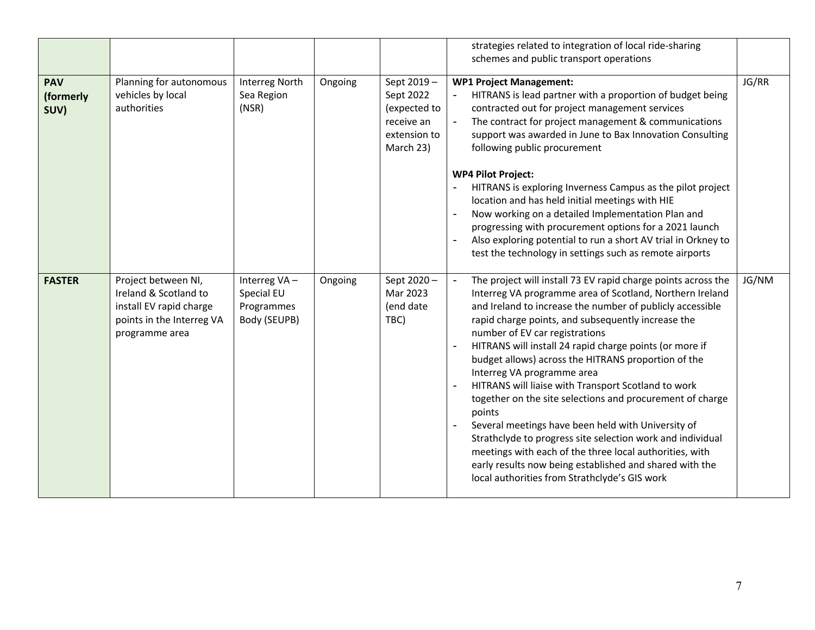|                                 |                                                                                                                        |                                                          |         |                                                                                    | strategies related to integration of local ride-sharing<br>schemes and public transport operations                                                                                                                                                                                                                                                                                                                                                                                                                                                                                                                                                                                                                                                                                                                                                      |       |
|---------------------------------|------------------------------------------------------------------------------------------------------------------------|----------------------------------------------------------|---------|------------------------------------------------------------------------------------|---------------------------------------------------------------------------------------------------------------------------------------------------------------------------------------------------------------------------------------------------------------------------------------------------------------------------------------------------------------------------------------------------------------------------------------------------------------------------------------------------------------------------------------------------------------------------------------------------------------------------------------------------------------------------------------------------------------------------------------------------------------------------------------------------------------------------------------------------------|-------|
| <b>PAV</b><br>(formerly<br>SUV) | Planning for autonomous<br>vehicles by local<br>authorities                                                            | <b>Interreg North</b><br>Sea Region<br>(NSR)             | Ongoing | Sept 2019-<br>Sept 2022<br>(expected to<br>receive an<br>extension to<br>March 23) | <b>WP1 Project Management:</b><br>HITRANS is lead partner with a proportion of budget being<br>contracted out for project management services<br>The contract for project management & communications<br>support was awarded in June to Bax Innovation Consulting<br>following public procurement<br><b>WP4 Pilot Project:</b><br>HITRANS is exploring Inverness Campus as the pilot project                                                                                                                                                                                                                                                                                                                                                                                                                                                            | JG/RR |
|                                 |                                                                                                                        |                                                          |         |                                                                                    | location and has held initial meetings with HIE<br>Now working on a detailed Implementation Plan and<br>progressing with procurement options for a 2021 launch<br>Also exploring potential to run a short AV trial in Orkney to<br>test the technology in settings such as remote airports                                                                                                                                                                                                                                                                                                                                                                                                                                                                                                                                                              |       |
| <b>FASTER</b>                   | Project between NI,<br>Ireland & Scotland to<br>install EV rapid charge<br>points in the Interreg VA<br>programme area | Interreg VA-<br>Special EU<br>Programmes<br>Body (SEUPB) | Ongoing | Sept 2020-<br>Mar 2023<br>(end date<br>TBC)                                        | The project will install 73 EV rapid charge points across the<br>Interreg VA programme area of Scotland, Northern Ireland<br>and Ireland to increase the number of publicly accessible<br>rapid charge points, and subsequently increase the<br>number of EV car registrations<br>HITRANS will install 24 rapid charge points (or more if<br>budget allows) across the HITRANS proportion of the<br>Interreg VA programme area<br>HITRANS will liaise with Transport Scotland to work<br>together on the site selections and procurement of charge<br>points<br>Several meetings have been held with University of<br>Strathclyde to progress site selection work and individual<br>meetings with each of the three local authorities, with<br>early results now being established and shared with the<br>local authorities from Strathclyde's GIS work | JG/NM |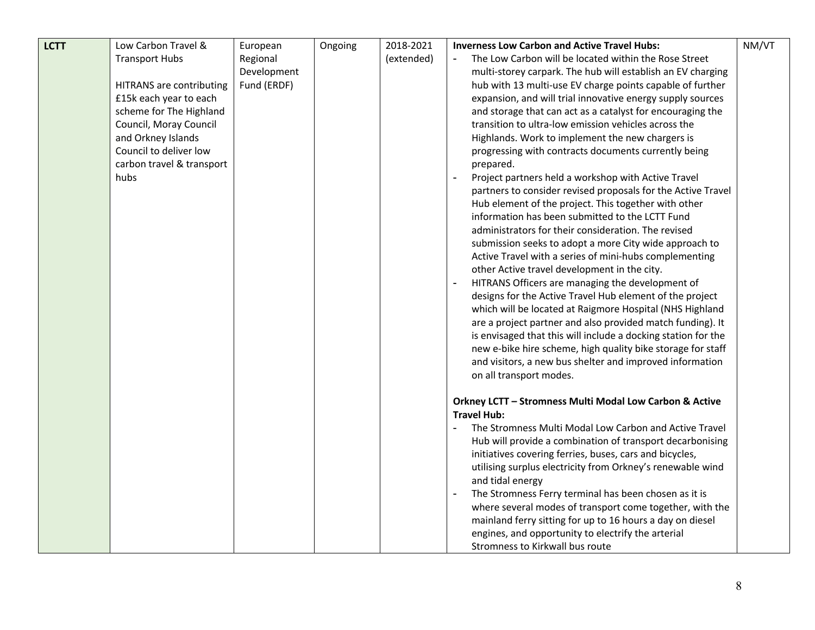| <b>LCTT</b> | Low Carbon Travel &                                                                                                                                                                                                          | European                               | Ongoing | 2018-2021  | <b>Inverness Low Carbon and Active Travel Hubs:</b>                                                                                                                                                                                                                                                                                                                                                                                                                                                                                                                                                                                                                                                                                                                                                                                                                                                                                                                                                                                                                                                                                                                                                                                                                                                                                                                                                                          | NM/VT |
|-------------|------------------------------------------------------------------------------------------------------------------------------------------------------------------------------------------------------------------------------|----------------------------------------|---------|------------|------------------------------------------------------------------------------------------------------------------------------------------------------------------------------------------------------------------------------------------------------------------------------------------------------------------------------------------------------------------------------------------------------------------------------------------------------------------------------------------------------------------------------------------------------------------------------------------------------------------------------------------------------------------------------------------------------------------------------------------------------------------------------------------------------------------------------------------------------------------------------------------------------------------------------------------------------------------------------------------------------------------------------------------------------------------------------------------------------------------------------------------------------------------------------------------------------------------------------------------------------------------------------------------------------------------------------------------------------------------------------------------------------------------------------|-------|
|             | <b>Transport Hubs</b><br><b>HITRANS</b> are contributing<br>£15k each year to each<br>scheme for The Highland<br>Council, Moray Council<br>and Orkney Islands<br>Council to deliver low<br>carbon travel & transport<br>hubs | Regional<br>Development<br>Fund (ERDF) |         | (extended) | The Low Carbon will be located within the Rose Street<br>multi-storey carpark. The hub will establish an EV charging<br>hub with 13 multi-use EV charge points capable of further<br>expansion, and will trial innovative energy supply sources<br>and storage that can act as a catalyst for encouraging the<br>transition to ultra-low emission vehicles across the<br>Highlands. Work to implement the new chargers is<br>progressing with contracts documents currently being<br>prepared.<br>Project partners held a workshop with Active Travel<br>partners to consider revised proposals for the Active Travel<br>Hub element of the project. This together with other<br>information has been submitted to the LCTT Fund<br>administrators for their consideration. The revised<br>submission seeks to adopt a more City wide approach to<br>Active Travel with a series of mini-hubs complementing<br>other Active travel development in the city.<br>HITRANS Officers are managing the development of<br>designs for the Active Travel Hub element of the project<br>which will be located at Raigmore Hospital (NHS Highland<br>are a project partner and also provided match funding). It<br>is envisaged that this will include a docking station for the<br>new e-bike hire scheme, high quality bike storage for staff<br>and visitors, a new bus shelter and improved information<br>on all transport modes. |       |
|             |                                                                                                                                                                                                                              |                                        |         |            | Orkney LCTT - Stromness Multi Modal Low Carbon & Active<br><b>Travel Hub:</b><br>The Stromness Multi Modal Low Carbon and Active Travel<br>$\blacksquare$<br>Hub will provide a combination of transport decarbonising<br>initiatives covering ferries, buses, cars and bicycles,<br>utilising surplus electricity from Orkney's renewable wind<br>and tidal energy<br>The Stromness Ferry terminal has been chosen as it is<br>where several modes of transport come together, with the<br>mainland ferry sitting for up to 16 hours a day on diesel<br>engines, and opportunity to electrify the arterial<br>Stromness to Kirkwall bus route                                                                                                                                                                                                                                                                                                                                                                                                                                                                                                                                                                                                                                                                                                                                                                               |       |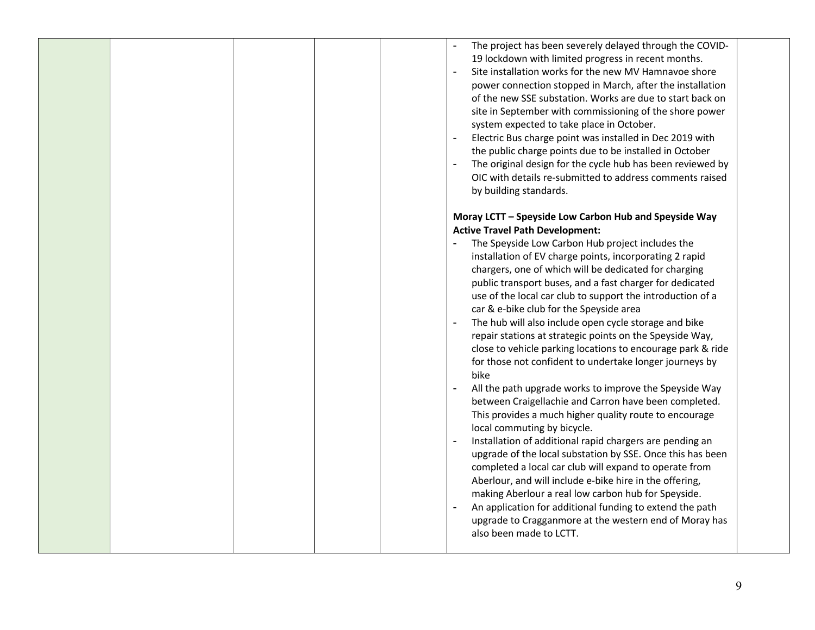|  |  | The project has been severely delayed through the COVID-<br>19 lockdown with limited progress in recent months.<br>Site installation works for the new MV Hamnavoe shore<br>power connection stopped in March, after the installation<br>of the new SSE substation. Works are due to start back on<br>site in September with commissioning of the shore power<br>system expected to take place in October.<br>$\blacksquare$<br>Electric Bus charge point was installed in Dec 2019 with<br>the public charge points due to be installed in October<br>The original design for the cycle hub has been reviewed by<br>OIC with details re-submitted to address comments raised<br>by building standards.                                                                                                                                                                                                                                                                                                                                                                                                                                                                                                                                                                                                                                                                                                    |
|--|--|------------------------------------------------------------------------------------------------------------------------------------------------------------------------------------------------------------------------------------------------------------------------------------------------------------------------------------------------------------------------------------------------------------------------------------------------------------------------------------------------------------------------------------------------------------------------------------------------------------------------------------------------------------------------------------------------------------------------------------------------------------------------------------------------------------------------------------------------------------------------------------------------------------------------------------------------------------------------------------------------------------------------------------------------------------------------------------------------------------------------------------------------------------------------------------------------------------------------------------------------------------------------------------------------------------------------------------------------------------------------------------------------------------|
|  |  | Moray LCTT - Speyside Low Carbon Hub and Speyside Way<br><b>Active Travel Path Development:</b><br>The Speyside Low Carbon Hub project includes the<br>installation of EV charge points, incorporating 2 rapid<br>chargers, one of which will be dedicated for charging<br>public transport buses, and a fast charger for dedicated<br>use of the local car club to support the introduction of a<br>car & e-bike club for the Speyside area<br>The hub will also include open cycle storage and bike<br>$\blacksquare$<br>repair stations at strategic points on the Speyside Way,<br>close to vehicle parking locations to encourage park & ride<br>for those not confident to undertake longer journeys by<br>bike<br>All the path upgrade works to improve the Speyside Way<br>between Craigellachie and Carron have been completed.<br>This provides a much higher quality route to encourage<br>local commuting by bicycle.<br>Installation of additional rapid chargers are pending an<br>$\overline{a}$<br>upgrade of the local substation by SSE. Once this has been<br>completed a local car club will expand to operate from<br>Aberlour, and will include e-bike hire in the offering,<br>making Aberlour a real low carbon hub for Speyside.<br>An application for additional funding to extend the path<br>upgrade to Cragganmore at the western end of Moray has<br>also been made to LCTT. |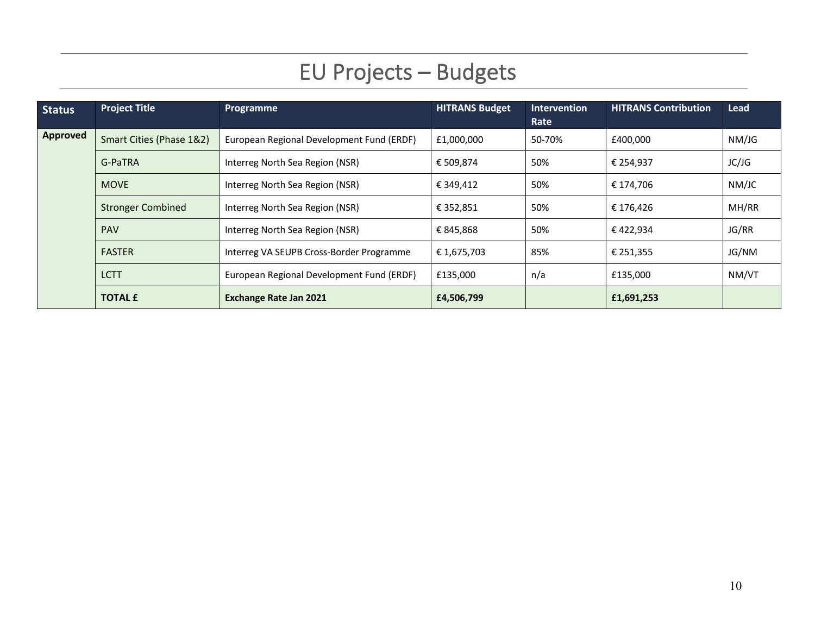# EU Projects – Budgets

| <b>Status</b>   | <b>Project Title</b>     | Programme                                 | <b>HITRANS Budget</b> | <b>Intervention</b><br>Rate | <b>HITRANS Contribution</b> | Lead  |
|-----------------|--------------------------|-------------------------------------------|-----------------------|-----------------------------|-----------------------------|-------|
| <b>Approved</b> | Smart Cities (Phase 1&2) | European Regional Development Fund (ERDF) | £1,000,000            | 50-70%                      | £400,000                    | NM/JG |
|                 | G-PaTRA                  | Interreg North Sea Region (NSR)           | € 509,874             | 50%                         | € 254,937                   | JC/JG |
|                 | <b>MOVE</b>              | Interreg North Sea Region (NSR)           | € 349,412             | 50%                         | € 174,706                   | NM/JC |
|                 | <b>Stronger Combined</b> | Interreg North Sea Region (NSR)           | € 352,851             | 50%                         | € 176,426                   | MH/RR |
|                 | <b>PAV</b>               | Interreg North Sea Region (NSR)           | € 845,868             | 50%                         | € 422,934                   | JG/RR |
|                 | <b>FASTER</b>            | Interreg VA SEUPB Cross-Border Programme  | € 1,675,703           | 85%                         | € 251,355                   | JG/NM |
|                 | <b>LCTT</b>              | European Regional Development Fund (ERDF) | £135,000              | n/a                         | £135,000                    | NM/VT |
|                 | <b>TOTAL £</b>           | <b>Exchange Rate Jan 2021</b>             | £4,506,799            |                             | £1,691,253                  |       |